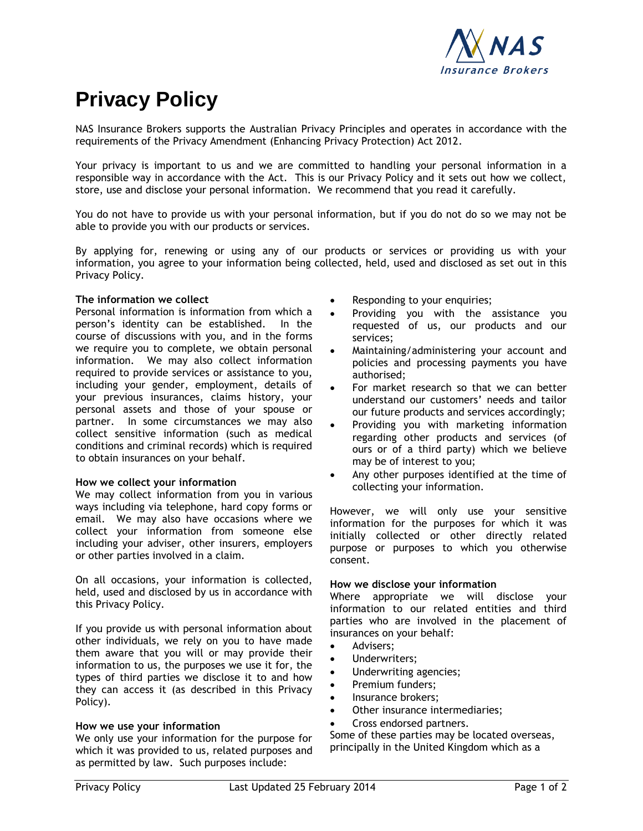

# <span id="page-0-0"></span>**Privacy Policy**

NAS Insurance Brokers supports the Australian Privacy Principles and operates in accordance with the requirements of the Privacy Amendment (Enhancing Privacy Protection) Act 2012.

Your privacy is important to us and we are committed to handling your personal information in a responsible way in accordance with the Act. This is our Privacy Policy and it sets out how we collect, store, use and disclose your personal information. We recommend that you read it carefully.

You do not have to provide us with your personal information, but if you do not do so we may not be able to provide you with our products or services.

By applying for, renewing or using any of our products or services or providing us with your information, you agree to your information being collected, held, used and disclosed as set out in this Privacy Policy.

# **The information we collect**

Personal information is information from which a person's identity can be established. In the course of discussions with you, and in the forms we require you to complete, we obtain personal information. We may also collect information required to provide services or assistance to you, including your gender, employment, details of your previous insurances, claims history, your personal assets and those of your spouse or partner. In some circumstances we may also collect sensitive information (such as medical conditions and criminal records) which is required to obtain insurances on your behalf.

## **How we collect your information**

We may collect information from you in various ways including via telephone, hard copy forms or email. We may also have occasions where we collect your information from someone else including your adviser, other insurers, employers or other parties involved in a claim.

On all occasions, your information is collected, held, used and disclosed by us in accordance with this Privacy Policy.

If you provide us with personal information about other individuals, we rely on you to have made them aware that you will or may provide their information to us, the purposes we use it for, the types of third parties we disclose it to and how they can access it (as described in this Privacy Policy).

# **How we use your information**

We only use your information for the purpose for which it was provided to us, related purposes and as permitted by law. Such purposes include:

- Responding to your enquiries;
- Providing you with the assistance you requested of us, our products and our services;
- Maintaining/administering your account and policies and processing payments you have authorised;
- For market research so that we can better understand our customers' needs and tailor our future products and services accordingly;
- Providing you with marketing information regarding other products and services (of ours or of a third party) which we believe may be of interest to you;
- Any other purposes identified at the time of collecting your information.

However, we will only use your sensitive information for the purposes for which it was initially collected or other directly related purpose or purposes to which you otherwise consent.

## **How we disclose your information**

Where appropriate we will disclose your information to our related entities and third parties who are involved in the placement of insurances on your behalf:

- Advisers:
- Underwriters;
- Underwriting agencies;
- Premium funders;
- Insurance brokers;
- Other insurance intermediaries;
- Cross endorsed partners.

Some of these parties may be located overseas, principally in the United Kingdom which as a